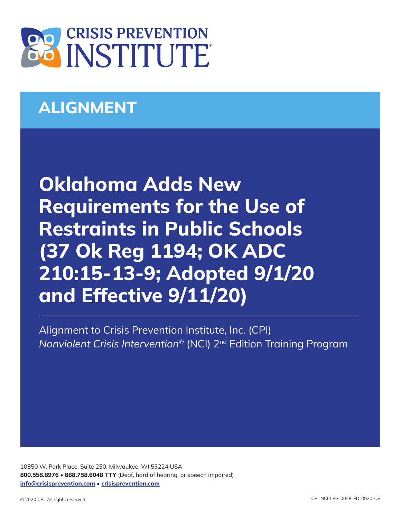

## **ALIGNMENT**

**Oklahoma Adds New Requirements for the Use of Restraints in Public Schools (37 Ok Reg 1194; OK ADC 210:15-13-9; Adopted 9/1/20 and Effective 9/11/20)**

Alignment to Crisis Prevention Institute, Inc. (CPI) *Nonviolent Crisis Intervention*® (NCI) 2nd Edition Training Program

10850 W. Park Place, Suite 250, Milwaukee, WI 53224 USA **800.558.8976** • **888.758.6048 TTY** (Deaf, hard of hearing, or speech impaired) **[info@crisisprevention.com](mailto:info%40crisisprevention.com?subject=)** • **[crisisprevention.com](https://www.crisisprevention.com/)**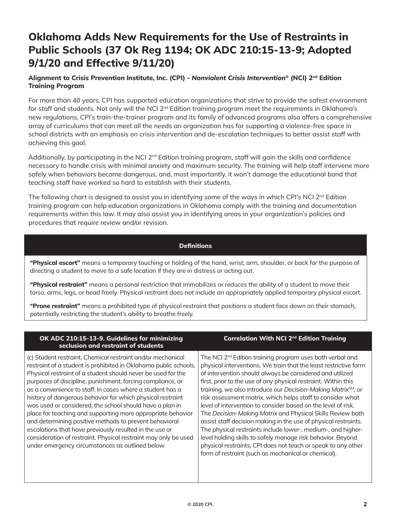## **Oklahoma Adds New Requirements for the Use of Restraints in Public Schools (37 Ok Reg 1194; OK ADC 210:15-13-9; Adopted 9/1/20 and Effective 9/11/20)**

## **Alignment to Crisis Prevention Institute, Inc. (CPI) -** *Nonviolent Crisis Intervention***® (NCI) 2nd Edition Training Program**

For more than 40 years, CPI has supported education organizations that strive to provide the safest environment for staff and students. Not only will the NCI 2<sup>nd</sup> Edition training program meet the requirements in Oklahoma's new regulations, CPI's train-the-trainer program and its family of advanced programs also offers a comprehensive array of curriculums that can meet all the needs an organization has for supporting a violence-free space in school districts with an emphasis on crisis intervention and de-escalation techniques to better assist staff with achieving this goal.

Additionally, by participating in the NCI  $2^{nd}$  Edition training program, staff will gain the skills and confidence necessary to handle crisis with minimal anxiety and maximum security. The training will help staff intervene more safely when behaviors become dangerous, and, most importantly, it won't damage the educational bond that teaching staff have worked so hard to establish with their students.

The following chart is designed to assist you in identifying some of the ways in which CPI's NCI 2<sup>nd</sup> Edition training program can help education organizations in Oklahoma comply with the training and documentation requirements within this law. It may also assist you in identifying areas in your organization's policies and procedures that require review and/or revision.

## **Definitions**

**"Physical escort"** means a temporary touching or holding of the hand, wrist, arm, shoulder, or back for the purpose of directing a student to move to a safe location if they are in distress or acting out.

**"Physical restraint"** means a personal restriction that immobilizes or reduces the ability of a student to move their torso, arms, legs, or head freely. Physical restraint does not include an appropriately applied temporary physical escort.

**"Prone restraint"** means a prohibited type of physical restraint that positions a student face down on their stomach, potentially restricting the student's ability to breathe freely.

| OK ADC 210:15-13-9. Guidelines for minimizing<br>seclusion and restraint of students                                                                                                                                                                                                                                                                                                                                                                                                                                                                                                                                                                                                                                                                            | Correlation With NCI 2 <sup>nd</sup> Edition Training                                                                                                                                                                                                                                                                                                                                                                                                                                                                                                                                                                                                                                                                                                                                                                                                                       |
|-----------------------------------------------------------------------------------------------------------------------------------------------------------------------------------------------------------------------------------------------------------------------------------------------------------------------------------------------------------------------------------------------------------------------------------------------------------------------------------------------------------------------------------------------------------------------------------------------------------------------------------------------------------------------------------------------------------------------------------------------------------------|-----------------------------------------------------------------------------------------------------------------------------------------------------------------------------------------------------------------------------------------------------------------------------------------------------------------------------------------------------------------------------------------------------------------------------------------------------------------------------------------------------------------------------------------------------------------------------------------------------------------------------------------------------------------------------------------------------------------------------------------------------------------------------------------------------------------------------------------------------------------------------|
| (c) Student restraint. Chemical restraint and/or mechanical<br>restraint of a student is prohibited in Oklahoma public schools.<br>Physical restraint of a student should never be used for the<br>purposes of discipline, punishment, forcing compliance, or<br>as a convenience to staff. In cases where a student has a<br>history of dangerous behavior for which physical restraint<br>was used or considered, the school should have a plan in<br>place for teaching and supporting more appropriate behavior<br>and determining positive methods to prevent behavioral<br>escalations that have previously resulted in the use or<br>consideration of restraint. Physical restraint may only be used<br>under emergency circumstances as outlined below. | The NCI 2 <sup>nd</sup> Edition training program uses both verbal and<br>physical interventions. We train that the least restrictive form<br>of intervention should always be considered and utilized<br>first, prior to the use of any physical restraint. Within this<br>training, we also introduce our Decision-Making Matrix <sup>SM</sup> , or<br>risk assessment matrix, which helps staff to consider what<br>level of intervention to consider based on the level of risk.<br>The Decision-Making Matrix and Physical Skills Review both<br>assist staff decision making in the use of physical restraints.<br>The physical restraints include lower-, medium-, and higher-<br>level holding skills to safely manage risk behavior. Beyond<br>physical restraints, CPI does not teach or speak to any other<br>form of restraint (such as mechanical or chemical). |